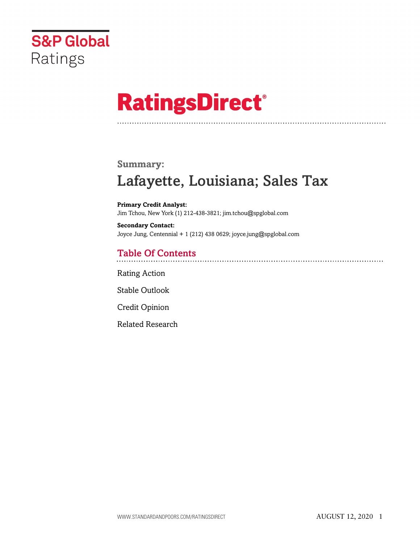

# **RatingsDirect®**

# **Summary:**

# Lafayette, Louisiana; Sales Tax

**Primary Credit Analyst:** Jim Tchou, New York (1) 212-438-3821; jim.tchou@spglobal.com

**Secondary Contact:** Joyce Jung, Centennial + 1 (212) 438 0629; joyce.jung@spglobal.com

# Table Of Contents

[Rating Action](#page-1-0)

[Stable Outlook](#page-2-0)

[Credit Opinion](#page-3-0)

[Related Research](#page-5-0)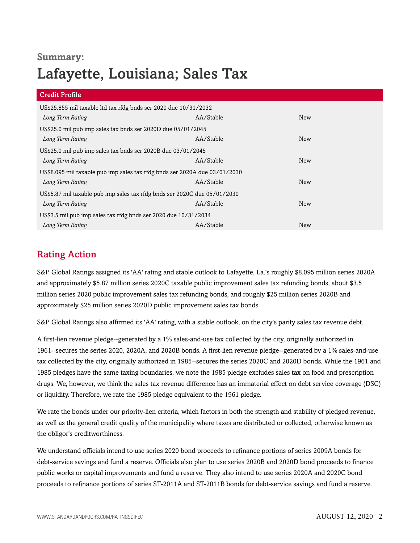## **Summary:**

# Lafayette, Louisiana; Sales Tax

| <b>Credit Profile</b>                                                      |           |            |  |
|----------------------------------------------------------------------------|-----------|------------|--|
| US\$25.855 mil taxable ltd tax rfdg bnds ser 2020 due 10/31/2032           |           |            |  |
| Long Term Rating                                                           | AA/Stable | New        |  |
| US\$25.0 mil pub imp sales tax bnds ser 2020D due 05/01/2045               |           |            |  |
| Long Term Rating                                                           | AA/Stable | New        |  |
| US\$25.0 mil pub imp sales tax bnds ser 2020B due 03/01/2045               |           |            |  |
| Long Term Rating                                                           | AA/Stable | New        |  |
| US\$8.095 mil taxable pub imp sales tax rfdg bnds ser 2020A due 03/01/2030 |           |            |  |
| Long Term Rating                                                           | AA/Stable | <b>New</b> |  |
| US\$5.87 mil taxable pub imp sales tax rfdg bnds ser 2020C due 05/01/2030  |           |            |  |
| Long Term Rating                                                           | AA/Stable | New        |  |
| US\$3.5 mil pub imp sales tax rfdg bnds ser 2020 due 10/31/2034            |           |            |  |
| Long Term Rating                                                           | AA/Stable | New        |  |

# <span id="page-1-0"></span>Rating Action

S&P Global Ratings assigned its 'AA' rating and stable outlook to Lafayette, La.'s roughly \$8.095 million series 2020A and approximately \$5.87 million series 2020C taxable public improvement sales tax refunding bonds, about \$3.5 million series 2020 public improvement sales tax refunding bonds, and roughly \$25 million series 2020B and approximately \$25 million series 2020D public improvement sales tax bonds.

S&P Global Ratings also affirmed its 'AA' rating, with a stable outlook, on the city's parity sales tax revenue debt.

A first-lien revenue pledge--generated by a 1% sales-and-use tax collected by the city, originally authorized in 1961--secures the series 2020, 2020A, and 2020B bonds. A first-lien revenue pledge--generated by a 1% sales-and-use tax collected by the city, originally authorized in 1985--secures the series 2020C and 2020D bonds. While the 1961 and 1985 pledges have the same taxing boundaries, we note the 1985 pledge excludes sales tax on food and prescription drugs. We, however, we think the sales tax revenue difference has an immaterial effect on debt service coverage (DSC) or liquidity. Therefore, we rate the 1985 pledge equivalent to the 1961 pledge.

We rate the bonds under our priority-lien criteria, which factors in both the strength and stability of pledged revenue, as well as the general credit quality of the municipality where taxes are distributed or collected, otherwise known as the obligor's creditworthiness.

We understand officials intend to use series 2020 bond proceeds to refinance portions of series 2009A bonds for debt-service savings and fund a reserve. Officials also plan to use series 2020B and 2020D bond proceeds to finance public works or capital improvements and fund a reserve. They also intend to use series 2020A and 2020C bond proceeds to refinance portions of series ST-2011A and ST-2011B bonds for debt-service savings and fund a reserve.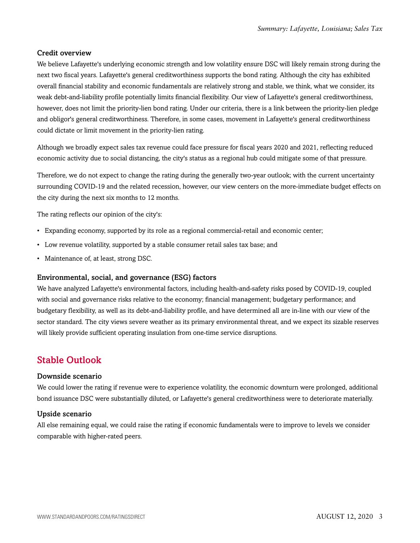#### Credit overview

We believe Lafayette's underlying economic strength and low volatility ensure DSC will likely remain strong during the next two fiscal years. Lafayette's general creditworthiness supports the bond rating. Although the city has exhibited overall financial stability and economic fundamentals are relatively strong and stable, we think, what we consider, its weak debt-and-liability profile potentially limits financial flexibility. Our view of Lafayette's general creditworthiness, however, does not limit the priority-lien bond rating. Under our criteria, there is a link between the priority-lien pledge and obligor's general creditworthiness. Therefore, in some cases, movement in Lafayette's general creditworthiness could dictate or limit movement in the priority-lien rating.

Although we broadly expect sales tax revenue could face pressure for fiscal years 2020 and 2021, reflecting reduced economic activity due to social distancing, the city's status as a regional hub could mitigate some of that pressure.

Therefore, we do not expect to change the rating during the generally two-year outlook; with the current uncertainty surrounding COVID-19 and the related recession, however, our view centers on the more-immediate budget effects on the city during the next six months to 12 months.

The rating reflects our opinion of the city's:

- Expanding economy, supported by its role as a regional commercial-retail and economic center;
- Low revenue volatility, supported by a stable consumer retail sales tax base; and
- Maintenance of, at least, strong DSC.

#### Environmental, social, and governance (ESG) factors

We have analyzed Lafayette's environmental factors, including health-and-safety risks posed by COVID-19, coupled with social and governance risks relative to the economy; financial management; budgetary performance; and budgetary flexibility, as well as its debt-and-liability profile, and have determined all are in-line with our view of the sector standard. The city views severe weather as its primary environmental threat, and we expect its sizable reserves will likely provide sufficient operating insulation from one-time service disruptions.

### <span id="page-2-0"></span>Stable Outlook

#### Downside scenario

We could lower the rating if revenue were to experience volatility, the economic downturn were prolonged, additional bond issuance DSC were substantially diluted, or Lafayette's general creditworthiness were to deteriorate materially.

#### Upside scenario

All else remaining equal, we could raise the rating if economic fundamentals were to improve to levels we consider comparable with higher-rated peers.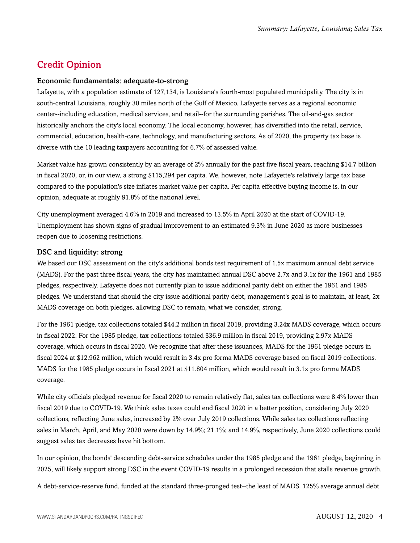# <span id="page-3-0"></span>Credit Opinion

#### Economic fundamentals: adequate-to-strong

Lafayette, with a population estimate of 127,134, is Louisiana's fourth-most populated municipality. The city is in south-central Louisiana, roughly 30 miles north of the Gulf of Mexico. Lafayette serves as a regional economic center--including education, medical services, and retail--for the surrounding parishes. The oil-and-gas sector historically anchors the city's local economy. The local economy, however, has diversified into the retail, service, commercial, education, health-care, technology, and manufacturing sectors. As of 2020, the property tax base is diverse with the 10 leading taxpayers accounting for 6.7% of assessed value.

Market value has grown consistently by an average of 2% annually for the past five fiscal years, reaching \$14.7 billion in fiscal 2020, or, in our view, a strong \$115,294 per capita. We, however, note Lafayette's relatively large tax base compared to the population's size inflates market value per capita. Per capita effective buying income is, in our opinion, adequate at roughly 91.8% of the national level.

City unemployment averaged 4.6% in 2019 and increased to 13.5% in April 2020 at the start of COVID-19. Unemployment has shown signs of gradual improvement to an estimated 9.3% in June 2020 as more businesses reopen due to loosening restrictions.

#### DSC and liquidity: strong

We based our DSC assessment on the city's additional bonds test requirement of 1.5x maximum annual debt service (MADS). For the past three fiscal years, the city has maintained annual DSC above 2.7x and 3.1x for the 1961 and 1985 pledges, respectively. Lafayette does not currently plan to issue additional parity debt on either the 1961 and 1985 pledges. We understand that should the city issue additional parity debt, management's goal is to maintain, at least, 2x MADS coverage on both pledges, allowing DSC to remain, what we consider, strong.

For the 1961 pledge, tax collections totaled \$44.2 million in fiscal 2019, providing 3.24x MADS coverage, which occurs in fiscal 2022. For the 1985 pledge, tax collections totaled \$36.9 million in fiscal 2019, providing 2.97x MADS coverage, which occurs in fiscal 2020. We recognize that after these issuances, MADS for the 1961 pledge occurs in fiscal 2024 at \$12.962 million, which would result in 3.4x pro forma MADS coverage based on fiscal 2019 collections. MADS for the 1985 pledge occurs in fiscal 2021 at \$11.804 million, which would result in 3.1x pro forma MADS coverage.

While city officials pledged revenue for fiscal 2020 to remain relatively flat, sales tax collections were 8.4% lower than fiscal 2019 due to COVID-19. We think sales taxes could end fiscal 2020 in a better position, considering July 2020 collections, reflecting June sales, increased by 2% over July 2019 collections. While sales tax collections reflecting sales in March, April, and May 2020 were down by 14.9%; 21.1%; and 14.9%, respectively, June 2020 collections could suggest sales tax decreases have hit bottom.

In our opinion, the bonds' descending debt-service schedules under the 1985 pledge and the 1961 pledge, beginning in 2025, will likely support strong DSC in the event COVID-19 results in a prolonged recession that stalls revenue growth.

A debt-service-reserve fund, funded at the standard three-pronged test--the least of MADS, 125% average annual debt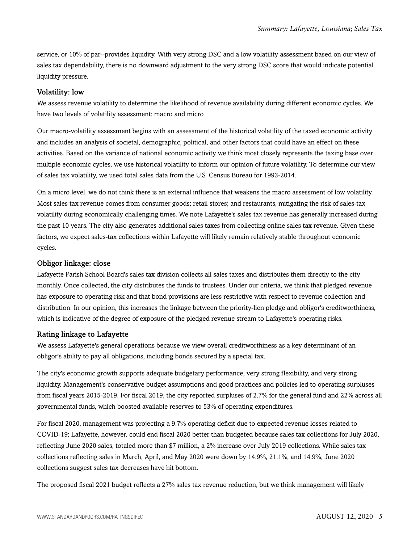service, or 10% of par--provides liquidity. With very strong DSC and a low volatility assessment based on our view of sales tax dependability, there is no downward adjustment to the very strong DSC score that would indicate potential liquidity pressure.

#### Volatility: low

We assess revenue volatility to determine the likelihood of revenue availability during different economic cycles. We have two levels of volatility assessment: macro and micro.

Our macro-volatility assessment begins with an assessment of the historical volatility of the taxed economic activity and includes an analysis of societal, demographic, political, and other factors that could have an effect on these activities. Based on the variance of national economic activity we think most closely represents the taxing base over multiple economic cycles, we use historical volatility to inform our opinion of future volatility. To determine our view of sales tax volatility, we used total sales data from the U.S. Census Bureau for 1993-2014.

On a micro level, we do not think there is an external influence that weakens the macro assessment of low volatility. Most sales tax revenue comes from consumer goods; retail stores; and restaurants, mitigating the risk of sales-tax volatility during economically challenging times. We note Lafayette's sales tax revenue has generally increased during the past 10 years. The city also generates additional sales taxes from collecting online sales tax revenue. Given these factors, we expect sales-tax collections within Lafayette will likely remain relatively stable throughout economic cycles.

#### Obligor linkage: close

Lafayette Parish School Board's sales tax division collects all sales taxes and distributes them directly to the city monthly. Once collected, the city distributes the funds to trustees. Under our criteria, we think that pledged revenue has exposure to operating risk and that bond provisions are less restrictive with respect to revenue collection and distribution. In our opinion, this increases the linkage between the priority-lien pledge and obligor's creditworthiness, which is indicative of the degree of exposure of the pledged revenue stream to Lafayette's operating risks.

#### Rating linkage to Lafayette

We assess Lafayette's general operations because we view overall creditworthiness as a key determinant of an obligor's ability to pay all obligations, including bonds secured by a special tax.

The city's economic growth supports adequate budgetary performance, very strong flexibility, and very strong liquidity. Management's conservative budget assumptions and good practices and policies led to operating surpluses from fiscal years 2015-2019. For fiscal 2019, the city reported surpluses of 2.7% for the general fund and 22% across all governmental funds, which boosted available reserves to 53% of operating expenditures.

For fiscal 2020, management was projecting a 9.7% operating deficit due to expected revenue losses related to COVID-19; Lafayette, however, could end fiscal 2020 better than budgeted because sales tax collections for July 2020, reflecting June 2020 sales, totaled more than \$7 million, a 2% increase over July 2019 collections. While sales tax collections reflecting sales in March, April, and May 2020 were down by 14.9%, 21.1%, and 14.9%, June 2020 collections suggest sales tax decreases have hit bottom.

The proposed fiscal 2021 budget reflects a 27% sales tax revenue reduction, but we think management will likely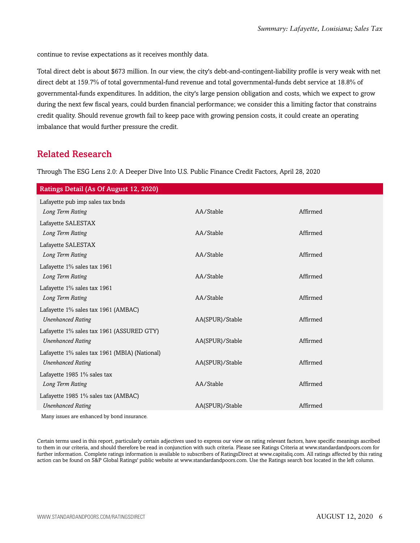continue to revise expectations as it receives monthly data.

Total direct debt is about \$673 million. In our view, the city's debt-and-contingent-liability profile is very weak with net direct debt at 159.7% of total governmental-fund revenue and total governmental-funds debt service at 18.8% of governmental-funds expenditures. In addition, the city's large pension obligation and costs, which we expect to grow during the next few fiscal years, could burden financial performance; we consider this a limiting factor that constrains credit quality. Should revenue growth fail to keep pace with growing pension costs, it could create an operating imbalance that would further pressure the credit.

### <span id="page-5-0"></span>Related Research

Through The ESG Lens 2.0: A Deeper Dive Into U.S. Public Finance Credit Factors, April 28, 2020

| Ratings Detail (As Of August 12, 2020)              |                 |          |
|-----------------------------------------------------|-----------------|----------|
| Lafayette pub imp sales tax bnds                    |                 |          |
| Long Term Rating                                    | AA/Stable       | Affirmed |
| Lafayette SALESTAX                                  |                 |          |
| Long Term Rating                                    | AA/Stable       | Affirmed |
| Lafayette SALESTAX                                  |                 |          |
| Long Term Rating                                    | AA/Stable       | Affirmed |
| Lafayette 1% sales tax 1961                         |                 |          |
| Long Term Rating                                    | AA/Stable       | Affirmed |
| Lafayette 1% sales tax 1961                         |                 |          |
| Long Term Rating                                    | AA/Stable       | Affirmed |
| Lafayette 1% sales tax 1961 (AMBAC)                 |                 |          |
| <b>Unenhanced Rating</b>                            | AA(SPUR)/Stable | Affirmed |
| Lafayette 1% sales tax 1961 (ASSURED GTY)           |                 |          |
| <b>Unenhanced Rating</b>                            | AA(SPUR)/Stable | Affirmed |
| Lafayette 1% sales tax 1961 (MBIA) (National)       |                 |          |
| <b>Unenhanced Rating</b>                            | AA(SPUR)/Stable | Affirmed |
| Lafayette 1985 1% sales tax                         |                 |          |
| Long Term Rating                                    | AA/Stable       | Affirmed |
| Lafayette 1985 1% sales tax (AMBAC)                 |                 |          |
| <b>Unenhanced Rating</b>                            | AA(SPUR)/Stable | Affirmed |
| Masser is seen a non-amb an and best hand dependent |                 |          |

Many issues are enhanced by bond insurance.

Certain terms used in this report, particularly certain adjectives used to express our view on rating relevant factors, have specific meanings ascribed to them in our criteria, and should therefore be read in conjunction with such criteria. Please see Ratings Criteria at www.standardandpoors.com for further information. Complete ratings information is available to subscribers of RatingsDirect at www.capitaliq.com. All ratings affected by this rating action can be found on S&P Global Ratings' public website at www.standardandpoors.com. Use the Ratings search box located in the left column.